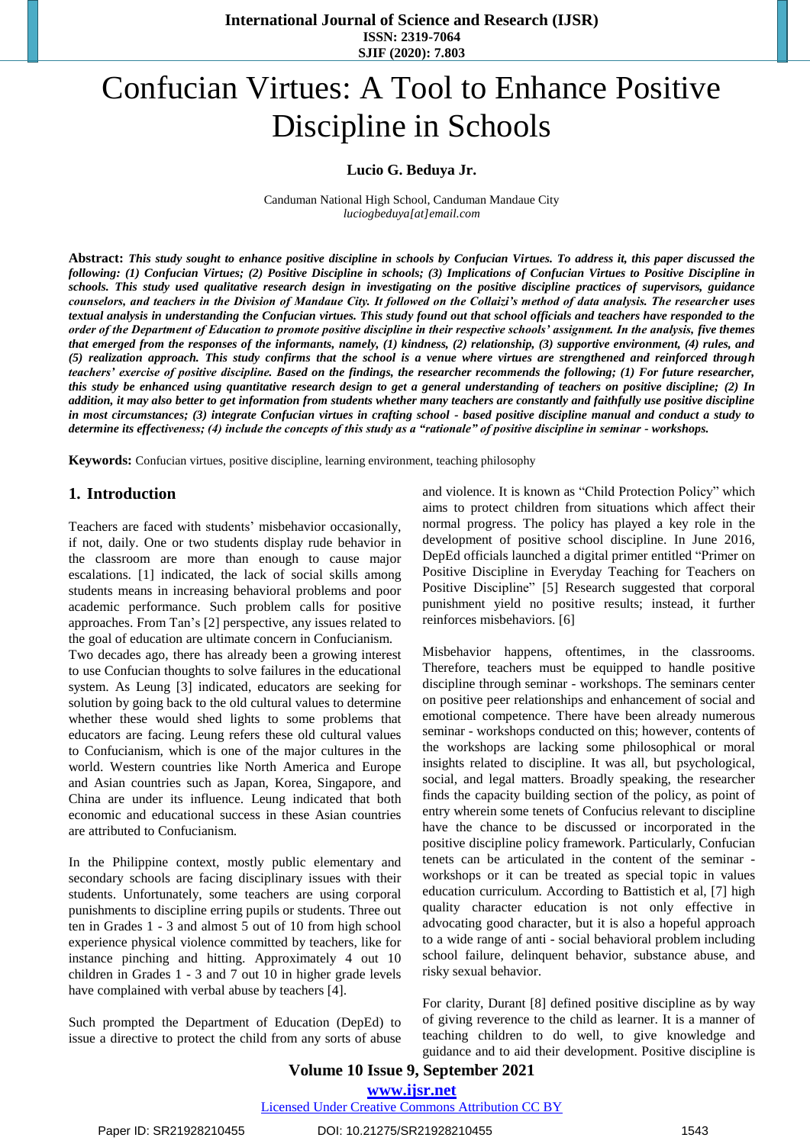# Confucian Virtues: A Tool to Enhance Positive Discipline in Schools

#### **Lucio G. Beduya Jr.**

Canduman National High School, Canduman Mandaue City *luciogbeduya[at]email.com*

**Abstract:** *This study sought to enhance positive discipline in schools by Confucian Virtues. To address it, this paper discussed the following: (1) Confucian Virtues; (2) Positive Discipline in schools; (3) Implications of Confucian Virtues to Positive Discipline in schools. This study used qualitative research design in investigating on the positive discipline practices of supervisors, guidance counselors, and teachers in the Division of Mandaue City. It followed on the Collaizi's method of data analysis. The researcher uses textual analysis in understanding the Confucian virtues. This study found out that school officials and teachers have responded to the order of the Department of Education to promote positive discipline in their respective schools' assignment. In the analysis, five themes that emerged from the responses of the informants, namely, (1) kindness, (2) relationship, (3) supportive environment, (4) rules, and (5) realization approach. This study confirms that the school is a venue where virtues are strengthened and reinforced through teachers' exercise of positive discipline. Based on the findings, the researcher recommends the following; (1) For future researcher, this study be enhanced using quantitative research design to get a general understanding of teachers on positive discipline; (2) In addition, it may also better to get information from students whether many teachers are constantly and faithfully use positive discipline in most circumstances; (3) integrate Confucian virtues in crafting school - based positive discipline manual and conduct a study to determine its effectiveness; (4) include the concepts of this study as a "rationale" of positive discipline in seminar - workshops.*

**Keywords:** Confucian virtues, positive discipline, learning environment, teaching philosophy

#### **1. Introduction**

Teachers are faced with students' misbehavior occasionally, if not, daily. One or two students display rude behavior in the classroom are more than enough to cause major escalations. [1] indicated, the lack of social skills among students means in increasing behavioral problems and poor academic performance. Such problem calls for positive approaches. From Tan's [2] perspective, any issues related to the goal of education are ultimate concern in Confucianism.

Two decades ago, there has already been a growing interest to use Confucian thoughts to solve failures in the educational system. As Leung [3] indicated, educators are seeking for solution by going back to the old cultural values to determine whether these would shed lights to some problems that educators are facing. Leung refers these old cultural values to Confucianism, which is one of the major cultures in the world. Western countries like North America and Europe and Asian countries such as Japan, Korea, Singapore, and China are under its influence. Leung indicated that both economic and educational success in these Asian countries are attributed to Confucianism.

In the Philippine context, mostly public elementary and secondary schools are facing disciplinary issues with their students. Unfortunately, some teachers are using corporal punishments to discipline erring pupils or students. Three out ten in Grades 1 - 3 and almost 5 out of 10 from high school experience physical violence committed by teachers, like for instance pinching and hitting. Approximately 4 out 10 children in Grades 1 - 3 and 7 out 10 in higher grade levels have complained with verbal abuse by teachers [4].

Such prompted the Department of Education (DepEd) to issue a directive to protect the child from any sorts of abuse and violence. It is known as "Child Protection Policy" which aims to protect children from situations which affect their normal progress. The policy has played a key role in the development of positive school discipline. In June 2016, DepEd officials launched a digital primer entitled "Primer on Positive Discipline in Everyday Teaching for Teachers on Positive Discipline" [5] Research suggested that corporal punishment yield no positive results; instead, it further reinforces misbehaviors. [6]

Misbehavior happens, oftentimes, in the classrooms. Therefore, teachers must be equipped to handle positive discipline through seminar - workshops. The seminars center on positive peer relationships and enhancement of social and emotional competence. There have been already numerous seminar - workshops conducted on this; however, contents of the workshops are lacking some philosophical or moral insights related to discipline. It was all, but psychological, social, and legal matters. Broadly speaking, the researcher finds the capacity building section of the policy, as point of entry wherein some tenets of Confucius relevant to discipline have the chance to be discussed or incorporated in the positive discipline policy framework. Particularly, Confucian tenets can be articulated in the content of the seminar workshops or it can be treated as special topic in values education curriculum. According to Battistich et al, [7] high quality character education is not only effective in advocating good character, but it is also a hopeful approach to a wide range of anti - social behavioral problem including school failure, delinquent behavior, substance abuse, and risky sexual behavior.

For clarity, Durant [8] defined positive discipline as by way of giving reverence to the child as learner. It is a manner of teaching children to do well, to give knowledge and guidance and to aid their development. Positive discipline is

**Volume 10 Issue 9, September 2021**

**[www.ijsr.net](../../IJSR%20Website/www.ijsr.net)**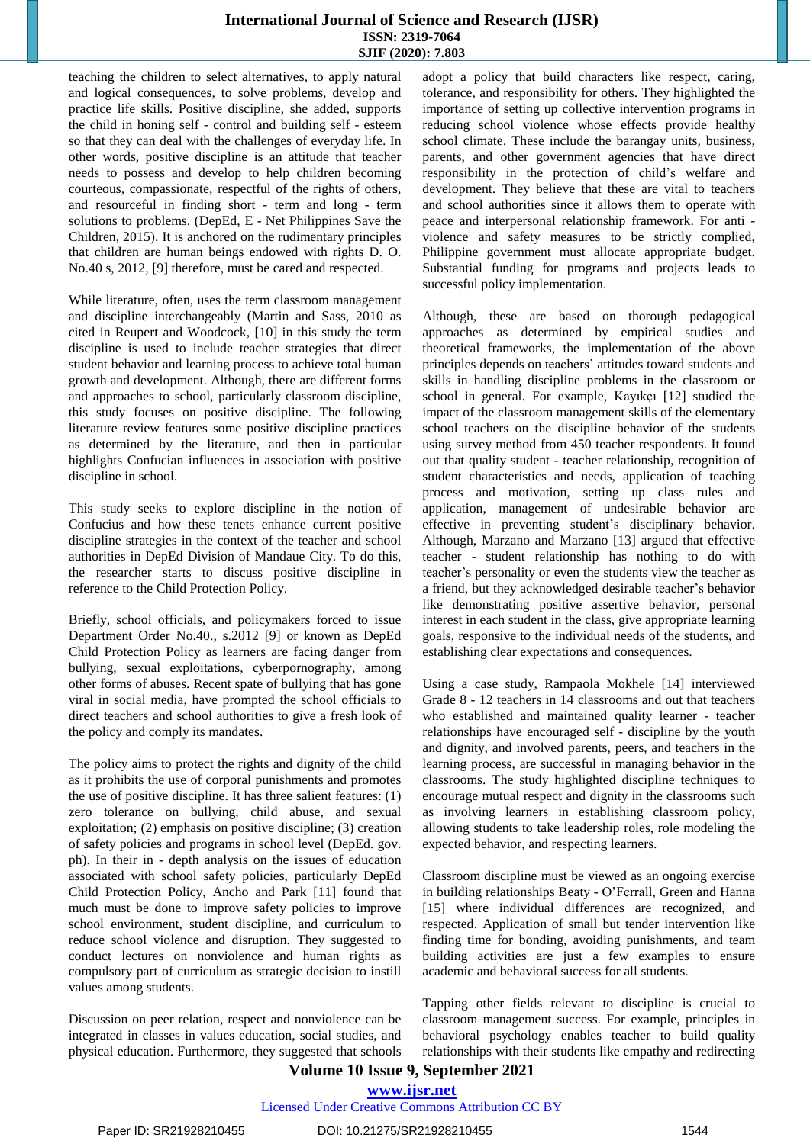teaching the children to select alternatives, to apply natural and logical consequences, to solve problems, develop and practice life skills. Positive discipline, she added, supports the child in honing self - control and building self - esteem so that they can deal with the challenges of everyday life. In other words, positive discipline is an attitude that teacher needs to possess and develop to help children becoming courteous, compassionate, respectful of the rights of others, and resourceful in finding short - term and long - term solutions to problems. (DepEd, E - Net Philippines Save the Children, 2015). It is anchored on the rudimentary principles that children are human beings endowed with rights D. O. No.40 s, 2012, [9] therefore, must be cared and respected.

While literature, often, uses the term classroom management and discipline interchangeably (Martin and Sass, 2010 as cited in Reupert and Woodcock, [10] in this study the term discipline is used to include teacher strategies that direct student behavior and learning process to achieve total human growth and development. Although, there are different forms and approaches to school, particularly classroom discipline, this study focuses on positive discipline. The following literature review features some positive discipline practices as determined by the literature, and then in particular highlights Confucian influences in association with positive discipline in school.

This study seeks to explore discipline in the notion of Confucius and how these tenets enhance current positive discipline strategies in the context of the teacher and school authorities in DepEd Division of Mandaue City. To do this, the researcher starts to discuss positive discipline in reference to the Child Protection Policy.

Briefly, school officials, and policymakers forced to issue Department Order No.40., s.2012 [9] or known as DepEd Child Protection Policy as learners are facing danger from bullying, sexual exploitations, cyberpornography, among other forms of abuses. Recent spate of bullying that has gone viral in social media, have prompted the school officials to direct teachers and school authorities to give a fresh look of the policy and comply its mandates.

The policy aims to protect the rights and dignity of the child as it prohibits the use of corporal punishments and promotes the use of positive discipline. It has three salient features: (1) zero tolerance on bullying, child abuse, and sexual exploitation; (2) emphasis on positive discipline; (3) creation of safety policies and programs in school level (DepEd. gov. ph). In their in - depth analysis on the issues of education associated with school safety policies, particularly DepEd Child Protection Policy, Ancho and Park [11] found that much must be done to improve safety policies to improve school environment, student discipline, and curriculum to reduce school violence and disruption. They suggested to conduct lectures on nonviolence and human rights as compulsory part of curriculum as strategic decision to instill values among students.

Discussion on peer relation, respect and nonviolence can be integrated in classes in values education, social studies, and physical education. Furthermore, they suggested that schools adopt a policy that build characters like respect, caring, tolerance, and responsibility for others. They highlighted the importance of setting up collective intervention programs in reducing school violence whose effects provide healthy school climate. These include the barangay units, business, parents, and other government agencies that have direct responsibility in the protection of child's welfare and development. They believe that these are vital to teachers and school authorities since it allows them to operate with peace and interpersonal relationship framework. For anti violence and safety measures to be strictly complied, Philippine government must allocate appropriate budget. Substantial funding for programs and projects leads to successful policy implementation.

Although, these are based on thorough pedagogical approaches as determined by empirical studies and theoretical frameworks, the implementation of the above principles depends on teachers' attitudes toward students and skills in handling discipline problems in the classroom or school in general. For example, Kayıkçı [12] studied the impact of the classroom management skills of the elementary school teachers on the discipline behavior of the students using survey method from 450 teacher respondents. It found out that quality student - teacher relationship, recognition of student characteristics and needs, application of teaching process and motivation, setting up class rules and application, management of undesirable behavior are effective in preventing student's disciplinary behavior. Although, Marzano and Marzano [13] argued that effective teacher - student relationship has nothing to do with teacher's personality or even the students view the teacher as a friend, but they acknowledged desirable teacher's behavior like demonstrating positive assertive behavior, personal interest in each student in the class, give appropriate learning goals, responsive to the individual needs of the students, and establishing clear expectations and consequences.

Using a case study, Rampaola Mokhele [14] interviewed Grade 8 - 12 teachers in 14 classrooms and out that teachers who established and maintained quality learner - teacher relationships have encouraged self - discipline by the youth and dignity, and involved parents, peers, and teachers in the learning process, are successful in managing behavior in the classrooms. The study highlighted discipline techniques to encourage mutual respect and dignity in the classrooms such as involving learners in establishing classroom policy, allowing students to take leadership roles, role modeling the expected behavior, and respecting learners.

Classroom discipline must be viewed as an ongoing exercise in building relationships Beaty - O'Ferrall, Green and Hanna [15] where individual differences are recognized, and respected. Application of small but tender intervention like finding time for bonding, avoiding punishments, and team building activities are just a few examples to ensure academic and behavioral success for all students.

Tapping other fields relevant to discipline is crucial to classroom management success. For example, principles in behavioral psychology enables teacher to build quality relationships with their students like empathy and redirecting

# **Volume 10 Issue 9, September 2021**

# **[www.ijsr.net](../../IJSR%20Website/www.ijsr.net)**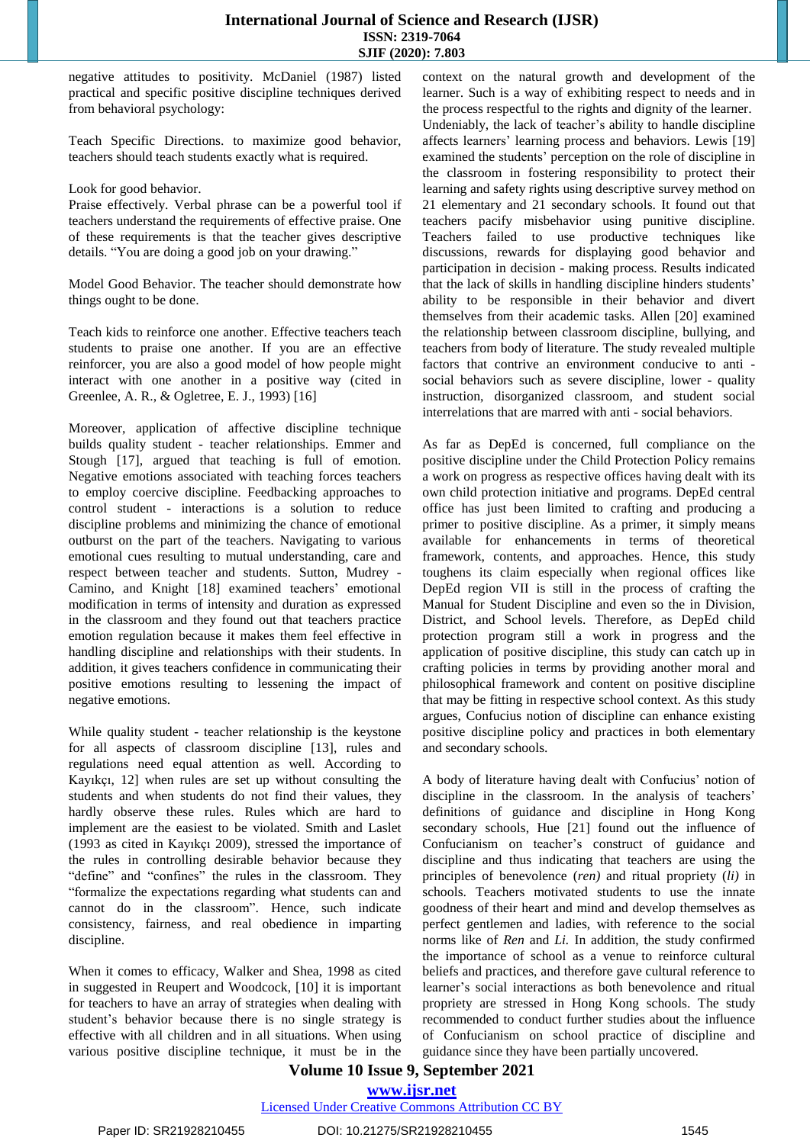negative attitudes to positivity. McDaniel (1987) listed practical and specific positive discipline techniques derived from behavioral psychology:

Teach Specific Directions. to maximize good behavior, teachers should teach students exactly what is required.

#### Look for good behavior.

Praise effectively. Verbal phrase can be a powerful tool if teachers understand the requirements of effective praise. One of these requirements is that the teacher gives descriptive details. "You are doing a good job on your drawing."

Model Good Behavior. The teacher should demonstrate how things ought to be done.

Teach kids to reinforce one another. Effective teachers teach students to praise one another. If you are an effective reinforcer, you are also a good model of how people might interact with one another in a positive way (cited in Greenlee, A. R., & Ogletree, E. J., 1993) [16]

Moreover, application of affective discipline technique builds quality student - teacher relationships. Emmer and Stough [17], argued that teaching is full of emotion. Negative emotions associated with teaching forces teachers to employ coercive discipline. Feedbacking approaches to control student - interactions is a solution to reduce discipline problems and minimizing the chance of emotional outburst on the part of the teachers. Navigating to various emotional cues resulting to mutual understanding, care and respect between teacher and students. Sutton, Mudrey - Camino, and Knight [18] examined teachers' emotional modification in terms of intensity and duration as expressed in the classroom and they found out that teachers practice emotion regulation because it makes them feel effective in handling discipline and relationships with their students. In addition, it gives teachers confidence in communicating their positive emotions resulting to lessening the impact of negative emotions.

While quality student - teacher relationship is the keystone for all aspects of classroom discipline [13], rules and regulations need equal attention as well. According to Kayıkçı, 12] when rules are set up without consulting the students and when students do not find their values, they hardly observe these rules. Rules which are hard to implement are the easiest to be violated. Smith and Laslet (1993 as cited in Kayıkçı 2009), stressed the importance of the rules in controlling desirable behavior because they "define" and "confines" the rules in the classroom. They "formalize the expectations regarding what students can and cannot do in the classroom". Hence, such indicate consistency, fairness, and real obedience in imparting discipline.

When it comes to efficacy, Walker and Shea, 1998 as cited in suggested in Reupert and Woodcock, [10] it is important for teachers to have an array of strategies when dealing with student's behavior because there is no single strategy is effective with all children and in all situations. When using various positive discipline technique, it must be in the context on the natural growth and development of the learner. Such is a way of exhibiting respect to needs and in the process respectful to the rights and dignity of the learner. Undeniably, the lack of teacher's ability to handle discipline affects learners' learning process and behaviors. Lewis [19] examined the students' perception on the role of discipline in the classroom in fostering responsibility to protect their learning and safety rights using descriptive survey method on 21 elementary and 21 secondary schools. It found out that teachers pacify misbehavior using punitive discipline. Teachers failed to use productive techniques like discussions, rewards for displaying good behavior and participation in decision - making process. Results indicated that the lack of skills in handling discipline hinders students' ability to be responsible in their behavior and divert themselves from their academic tasks. Allen [20] examined the relationship between classroom discipline, bullying, and teachers from body of literature. The study revealed multiple factors that contrive an environment conducive to anti social behaviors such as severe discipline, lower - quality instruction, disorganized classroom, and student social interrelations that are marred with anti - social behaviors.

As far as DepEd is concerned, full compliance on the positive discipline under the Child Protection Policy remains a work on progress as respective offices having dealt with its own child protection initiative and programs. DepEd central office has just been limited to crafting and producing a primer to positive discipline. As a primer, it simply means available for enhancements in terms of theoretical framework, contents, and approaches. Hence, this study toughens its claim especially when regional offices like DepEd region VII is still in the process of crafting the Manual for Student Discipline and even so the in Division, District, and School levels. Therefore, as DepEd child protection program still a work in progress and the application of positive discipline, this study can catch up in crafting policies in terms by providing another moral and philosophical framework and content on positive discipline that may be fitting in respective school context. As this study argues, Confucius notion of discipline can enhance existing positive discipline policy and practices in both elementary and secondary schools.

A body of literature having dealt with Confucius' notion of discipline in the classroom. In the analysis of teachers' definitions of guidance and discipline in Hong Kong secondary schools, Hue [21] found out the influence of Confucianism on teacher's construct of guidance and discipline and thus indicating that teachers are using the principles of benevolence (*ren)* and ritual propriety (*li)* in schools. Teachers motivated students to use the innate goodness of their heart and mind and develop themselves as perfect gentlemen and ladies, with reference to the social norms like of *Ren* and *Li.* In addition, the study confirmed the importance of school as a venue to reinforce cultural beliefs and practices, and therefore gave cultural reference to learner's social interactions as both benevolence and ritual propriety are stressed in Hong Kong schools. The study recommended to conduct further studies about the influence of Confucianism on school practice of discipline and guidance since they have been partially uncovered.

#### **Volume 10 Issue 9, September 2021 [www.ijsr.net](../../IJSR%20Website/www.ijsr.net)**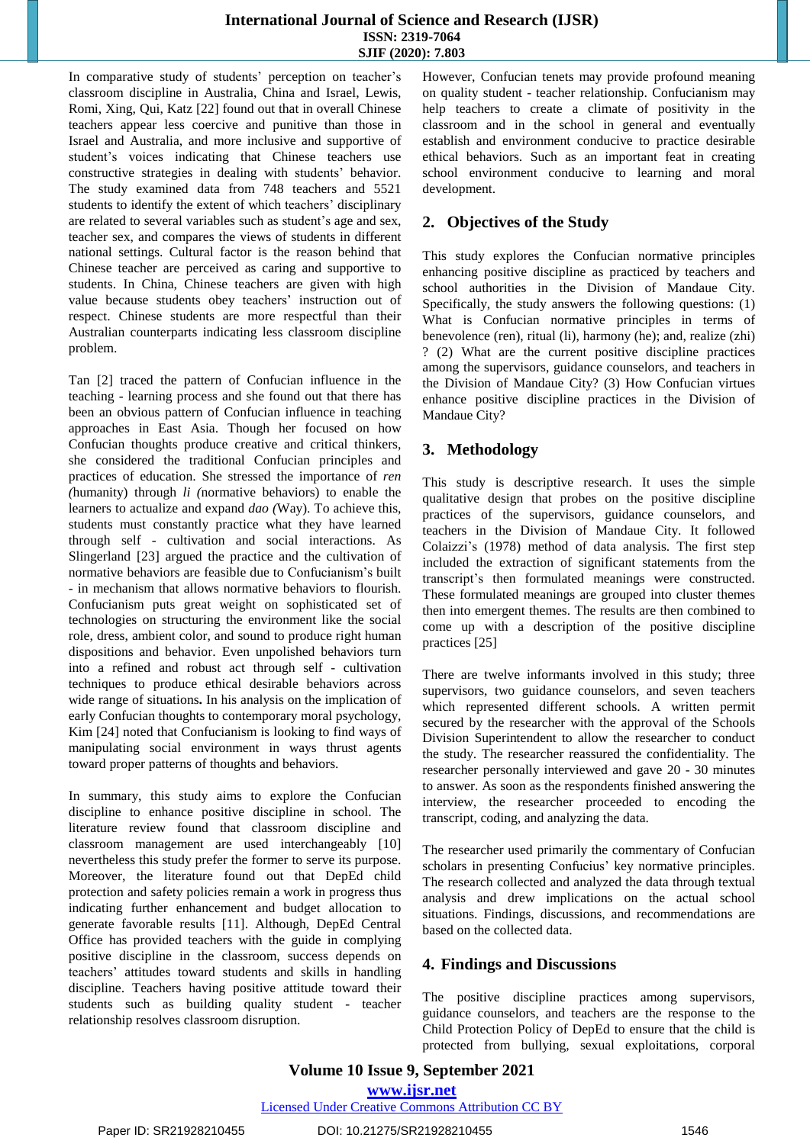In comparative study of students' perception on teacher's classroom discipline in Australia, China and Israel, Lewis, Romi, Xing, Qui, Katz [22] found out that in overall Chinese teachers appear less coercive and punitive than those in Israel and Australia, and more inclusive and supportive of student's voices indicating that Chinese teachers use constructive strategies in dealing with students' behavior. The study examined data from 748 teachers and 5521 students to identify the extent of which teachers' disciplinary are related to several variables such as student's age and sex, teacher sex, and compares the views of students in different national settings. Cultural factor is the reason behind that Chinese teacher are perceived as caring and supportive to students. In China, Chinese teachers are given with high value because students obey teachers' instruction out of respect. Chinese students are more respectful than their Australian counterparts indicating less classroom discipline problem.

Tan [2] traced the pattern of Confucian influence in the teaching - learning process and she found out that there has been an obvious pattern of Confucian influence in teaching approaches in East Asia. Though her focused on how Confucian thoughts produce creative and critical thinkers, she considered the traditional Confucian principles and practices of education. She stressed the importance of *ren (*humanity) through *li (*normative behaviors) to enable the learners to actualize and expand *dao (*Way). To achieve this, students must constantly practice what they have learned through self - cultivation and social interactions. As Slingerland [23] argued the practice and the cultivation of normative behaviors are feasible due to Confucianism's built - in mechanism that allows normative behaviors to flourish. Confucianism puts great weight on sophisticated set of technologies on structuring the environment like the social role, dress, ambient color, and sound to produce right human dispositions and behavior. Even unpolished behaviors turn into a refined and robust act through self - cultivation techniques to produce ethical desirable behaviors across wide range of situations**.** In his analysis on the implication of early Confucian thoughts to contemporary moral psychology, Kim [24] noted that Confucianism is looking to find ways of manipulating social environment in ways thrust agents toward proper patterns of thoughts and behaviors.

In summary, this study aims to explore the Confucian discipline to enhance positive discipline in school. The literature review found that classroom discipline and classroom management are used interchangeably [10] nevertheless this study prefer the former to serve its purpose. Moreover, the literature found out that DepEd child protection and safety policies remain a work in progress thus indicating further enhancement and budget allocation to generate favorable results [11]. Although, DepEd Central Office has provided teachers with the guide in complying positive discipline in the classroom, success depends on teachers' attitudes toward students and skills in handling discipline. Teachers having positive attitude toward their students such as building quality student - teacher relationship resolves classroom disruption.

However, Confucian tenets may provide profound meaning on quality student - teacher relationship. Confucianism may help teachers to create a climate of positivity in the classroom and in the school in general and eventually establish and environment conducive to practice desirable ethical behaviors. Such as an important feat in creating school environment conducive to learning and moral development.

# **2. Objectives of the Study**

This study explores the Confucian normative principles enhancing positive discipline as practiced by teachers and school authorities in the Division of Mandaue City. Specifically, the study answers the following questions: (1) What is Confucian normative principles in terms of benevolence (ren), ritual (li), harmony (he); and, realize (zhi) ? (2) What are the current positive discipline practices among the supervisors, guidance counselors, and teachers in the Division of Mandaue City? (3) How Confucian virtues enhance positive discipline practices in the Division of Mandaue City?

# **3. Methodology**

This study is descriptive research. It uses the simple qualitative design that probes on the positive discipline practices of the supervisors, guidance counselors, and teachers in the Division of Mandaue City. It followed Colaizzi's (1978) method of data analysis. The first step included the extraction of significant statements from the transcript's then formulated meanings were constructed. These formulated meanings are grouped into cluster themes then into emergent themes. The results are then combined to come up with a description of the positive discipline practices [25]

There are twelve informants involved in this study; three supervisors, two guidance counselors, and seven teachers which represented different schools. A written permit secured by the researcher with the approval of the Schools Division Superintendent to allow the researcher to conduct the study. The researcher reassured the confidentiality. The researcher personally interviewed and gave 20 - 30 minutes to answer. As soon as the respondents finished answering the interview, the researcher proceeded to encoding the transcript, coding, and analyzing the data.

The researcher used primarily the commentary of Confucian scholars in presenting Confucius' key normative principles. The research collected and analyzed the data through textual analysis and drew implications on the actual school situations. Findings, discussions, and recommendations are based on the collected data.

# **4. Findings and Discussions**

The positive discipline practices among supervisors, guidance counselors, and teachers are the response to the Child Protection Policy of DepEd to ensure that the child is protected from bullying, sexual exploitations, corporal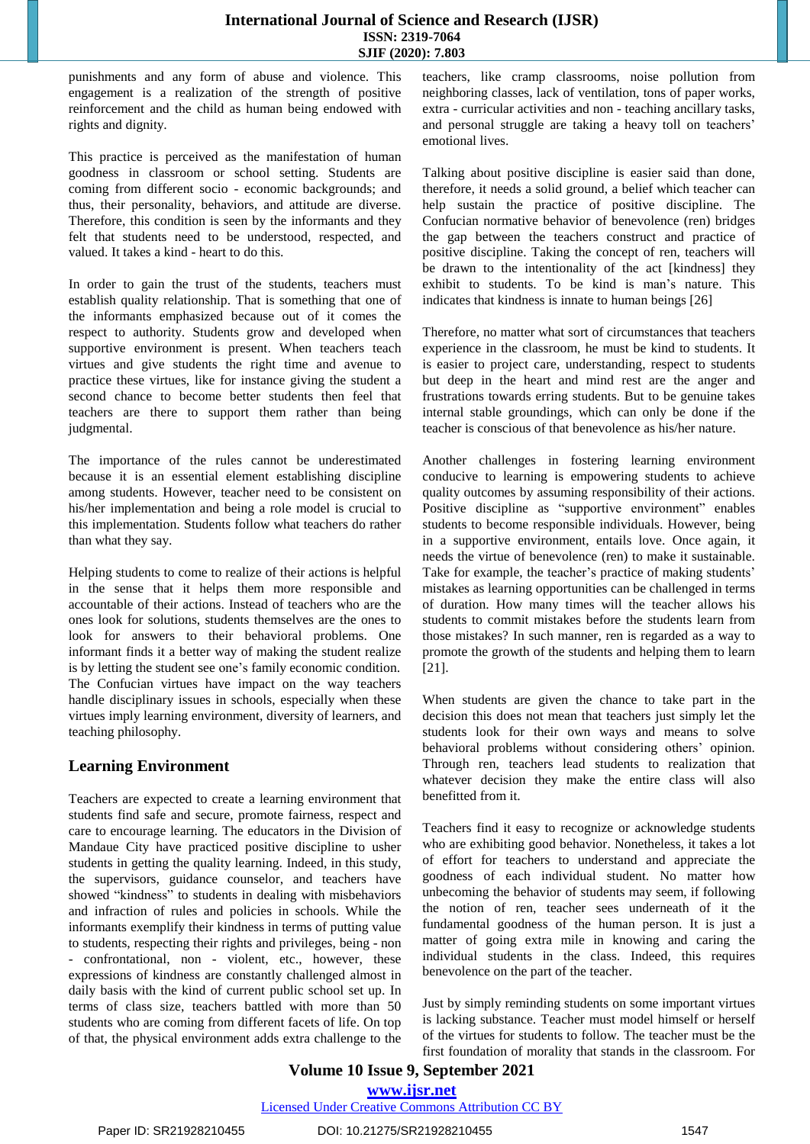punishments and any form of abuse and violence. This engagement is a realization of the strength of positive reinforcement and the child as human being endowed with rights and dignity.

This practice is perceived as the manifestation of human goodness in classroom or school setting. Students are coming from different socio - economic backgrounds; and thus, their personality, behaviors, and attitude are diverse. Therefore, this condition is seen by the informants and they felt that students need to be understood, respected, and valued. It takes a kind - heart to do this.

In order to gain the trust of the students, teachers must establish quality relationship. That is something that one of the informants emphasized because out of it comes the respect to authority. Students grow and developed when supportive environment is present. When teachers teach virtues and give students the right time and avenue to practice these virtues, like for instance giving the student a second chance to become better students then feel that teachers are there to support them rather than being judgmental.

The importance of the rules cannot be underestimated because it is an essential element establishing discipline among students. However, teacher need to be consistent on his/her implementation and being a role model is crucial to this implementation. Students follow what teachers do rather than what they say.

Helping students to come to realize of their actions is helpful in the sense that it helps them more responsible and accountable of their actions. Instead of teachers who are the ones look for solutions, students themselves are the ones to look for answers to their behavioral problems. One informant finds it a better way of making the student realize is by letting the student see one's family economic condition. The Confucian virtues have impact on the way teachers handle disciplinary issues in schools, especially when these virtues imply learning environment, diversity of learners, and teaching philosophy.

# **Learning Environment**

Teachers are expected to create a learning environment that students find safe and secure, promote fairness, respect and care to encourage learning. The educators in the Division of Mandaue City have practiced positive discipline to usher students in getting the quality learning. Indeed, in this study, the supervisors, guidance counselor, and teachers have showed "kindness" to students in dealing with misbehaviors and infraction of rules and policies in schools. While the informants exemplify their kindness in terms of putting value to students, respecting their rights and privileges, being - non confrontational, non - violent, etc., however, these expressions of kindness are constantly challenged almost in daily basis with the kind of current public school set up. In terms of class size, teachers battled with more than 50 students who are coming from different facets of life. On top of that, the physical environment adds extra challenge to the

teachers, like cramp classrooms, noise pollution from neighboring classes, lack of ventilation, tons of paper works, extra - curricular activities and non - teaching ancillary tasks, and personal struggle are taking a heavy toll on teachers' emotional lives.

Talking about positive discipline is easier said than done, therefore, it needs a solid ground, a belief which teacher can help sustain the practice of positive discipline. The Confucian normative behavior of benevolence (ren) bridges the gap between the teachers construct and practice of positive discipline. Taking the concept of ren, teachers will be drawn to the intentionality of the act [kindness] they exhibit to students. To be kind is man's nature. This indicates that kindness is innate to human beings [26]

Therefore, no matter what sort of circumstances that teachers experience in the classroom, he must be kind to students. It is easier to project care, understanding, respect to students but deep in the heart and mind rest are the anger and frustrations towards erring students. But to be genuine takes internal stable groundings, which can only be done if the teacher is conscious of that benevolence as his/her nature.

Another challenges in fostering learning environment conducive to learning is empowering students to achieve quality outcomes by assuming responsibility of their actions. Positive discipline as "supportive environment" enables students to become responsible individuals. However, being in a supportive environment, entails love. Once again, it needs the virtue of benevolence (ren) to make it sustainable. Take for example, the teacher's practice of making students' mistakes as learning opportunities can be challenged in terms of duration. How many times will the teacher allows his students to commit mistakes before the students learn from those mistakes? In such manner, ren is regarded as a way to promote the growth of the students and helping them to learn [21].

When students are given the chance to take part in the decision this does not mean that teachers just simply let the students look for their own ways and means to solve behavioral problems without considering others' opinion. Through ren, teachers lead students to realization that whatever decision they make the entire class will also benefitted from it.

Teachers find it easy to recognize or acknowledge students who are exhibiting good behavior. Nonetheless, it takes a lot of effort for teachers to understand and appreciate the goodness of each individual student. No matter how unbecoming the behavior of students may seem, if following the notion of ren, teacher sees underneath of it the fundamental goodness of the human person. It is just a matter of going extra mile in knowing and caring the individual students in the class. Indeed, this requires benevolence on the part of the teacher.

Just by simply reminding students on some important virtues is lacking substance. Teacher must model himself or herself of the virtues for students to follow. The teacher must be the first foundation of morality that stands in the classroom. For

# **Volume 10 Issue 9, September 2021**

**[www.ijsr.net](../../IJSR%20Website/www.ijsr.net)**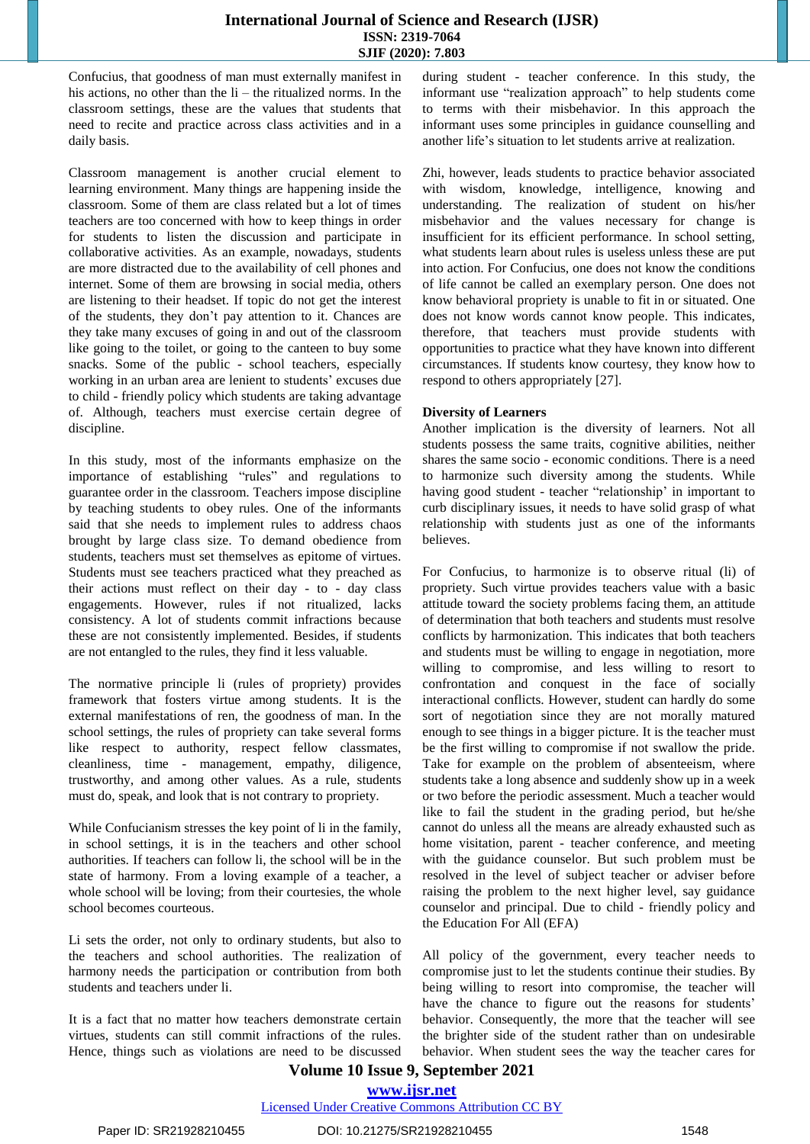Confucius, that goodness of man must externally manifest in his actions, no other than the li – the ritualized norms. In the classroom settings, these are the values that students that need to recite and practice across class activities and in a daily basis.

Classroom management is another crucial element to learning environment. Many things are happening inside the classroom. Some of them are class related but a lot of times teachers are too concerned with how to keep things in order for students to listen the discussion and participate in collaborative activities. As an example, nowadays, students are more distracted due to the availability of cell phones and internet. Some of them are browsing in social media, others are listening to their headset. If topic do not get the interest of the students, they don't pay attention to it. Chances are they take many excuses of going in and out of the classroom like going to the toilet, or going to the canteen to buy some snacks. Some of the public - school teachers, especially working in an urban area are lenient to students' excuses due to child - friendly policy which students are taking advantage of. Although, teachers must exercise certain degree of discipline.

In this study, most of the informants emphasize on the importance of establishing "rules" and regulations to guarantee order in the classroom. Teachers impose discipline by teaching students to obey rules. One of the informants said that she needs to implement rules to address chaos brought by large class size. To demand obedience from students, teachers must set themselves as epitome of virtues. Students must see teachers practiced what they preached as their actions must reflect on their day - to - day class engagements. However, rules if not ritualized, lacks consistency. A lot of students commit infractions because these are not consistently implemented. Besides, if students are not entangled to the rules, they find it less valuable.

The normative principle li (rules of propriety) provides framework that fosters virtue among students. It is the external manifestations of ren, the goodness of man. In the school settings, the rules of propriety can take several forms like respect to authority, respect fellow classmates, cleanliness, time - management, empathy, diligence, trustworthy, and among other values. As a rule, students must do, speak, and look that is not contrary to propriety.

While Confucianism stresses the key point of li in the family, in school settings, it is in the teachers and other school authorities. If teachers can follow li, the school will be in the state of harmony. From a loving example of a teacher, a whole school will be loving; from their courtesies, the whole school becomes courteous.

Li sets the order, not only to ordinary students, but also to the teachers and school authorities. The realization of harmony needs the participation or contribution from both students and teachers under li.

It is a fact that no matter how teachers demonstrate certain virtues, students can still commit infractions of the rules. Hence, things such as violations are need to be discussed during student - teacher conference. In this study, the informant use "realization approach" to help students come to terms with their misbehavior. In this approach the informant uses some principles in guidance counselling and another life's situation to let students arrive at realization.

Zhi, however, leads students to practice behavior associated with wisdom, knowledge, intelligence, knowing and understanding. The realization of student on his/her misbehavior and the values necessary for change is insufficient for its efficient performance. In school setting, what students learn about rules is useless unless these are put into action. For Confucius, one does not know the conditions of life cannot be called an exemplary person. One does not know behavioral propriety is unable to fit in or situated. One does not know words cannot know people. This indicates, therefore, that teachers must provide students with opportunities to practice what they have known into different circumstances. If students know courtesy, they know how to respond to others appropriately [27].

#### **Diversity of Learners**

Another implication is the diversity of learners. Not all students possess the same traits, cognitive abilities, neither shares the same socio - economic conditions. There is a need to harmonize such diversity among the students. While having good student - teacher "relationship' in important to curb disciplinary issues, it needs to have solid grasp of what relationship with students just as one of the informants believes.

For Confucius, to harmonize is to observe ritual (li) of propriety. Such virtue provides teachers value with a basic attitude toward the society problems facing them, an attitude of determination that both teachers and students must resolve conflicts by harmonization. This indicates that both teachers and students must be willing to engage in negotiation, more willing to compromise, and less willing to resort to confrontation and conquest in the face of socially interactional conflicts. However, student can hardly do some sort of negotiation since they are not morally matured enough to see things in a bigger picture. It is the teacher must be the first willing to compromise if not swallow the pride. Take for example on the problem of absenteeism, where students take a long absence and suddenly show up in a week or two before the periodic assessment. Much a teacher would like to fail the student in the grading period, but he/she cannot do unless all the means are already exhausted such as home visitation, parent - teacher conference, and meeting with the guidance counselor. But such problem must be resolved in the level of subject teacher or adviser before raising the problem to the next higher level, say guidance counselor and principal. Due to child - friendly policy and the Education For All (EFA)

All policy of the government, every teacher needs to compromise just to let the students continue their studies. By being willing to resort into compromise, the teacher will have the chance to figure out the reasons for students' behavior. Consequently, the more that the teacher will see the brighter side of the student rather than on undesirable behavior. When student sees the way the teacher cares for

# **Volume 10 Issue 9, September 2021 [www.ijsr.net](../../IJSR%20Website/www.ijsr.net)**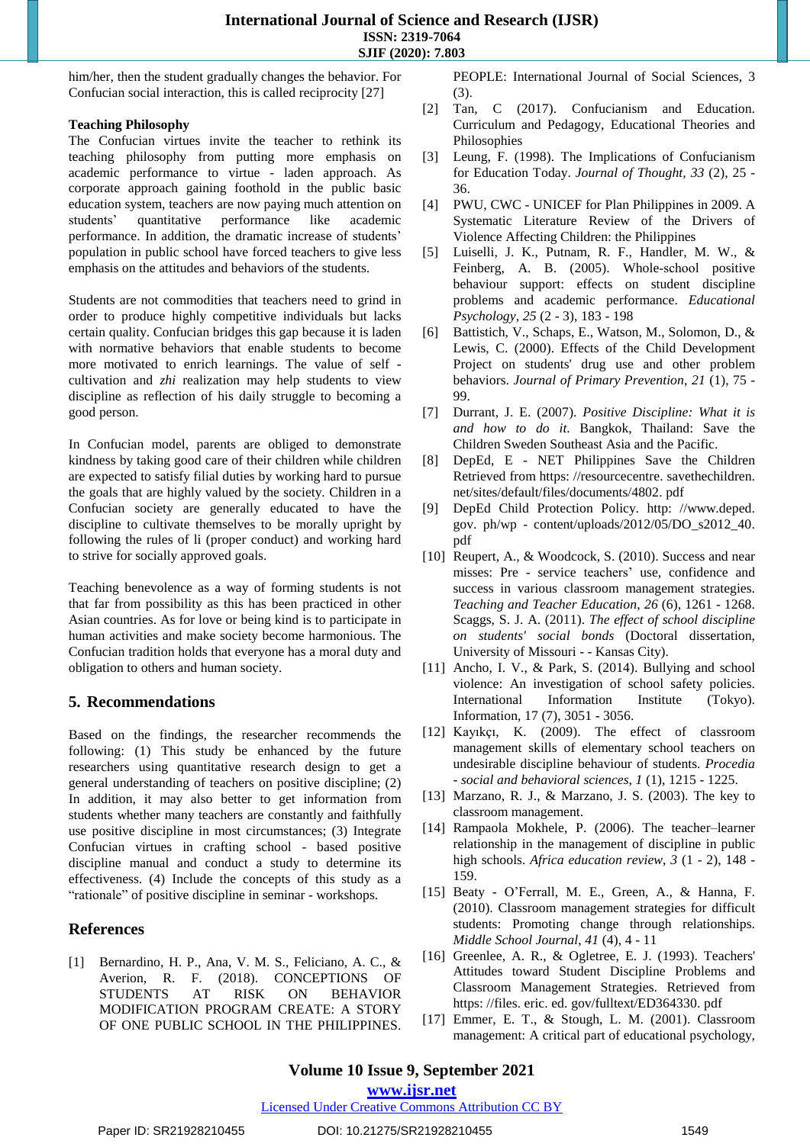him/her, then the student gradually changes the behavior. For Confucian social interaction, this is called reciprocity [27]

#### **Teaching Philosophy**

The Confucian virtues invite the teacher to rethink its teaching philosophy from putting more emphasis on academic performance to virtue - laden approach. As corporate approach gaining foothold in the public basic education system, teachers are now paying much attention on students' quantitative performance like academic performance. In addition, the dramatic increase of students' population in public school have forced teachers to give less emphasis on the attitudes and behaviors of the students.

Students are not commodities that teachers need to grind in order to produce highly competitive individuals but lacks certain quality. Confucian bridges this gap because it is laden with normative behaviors that enable students to become more motivated to enrich learnings. The value of self cultivation and *zhi* realization may help students to view discipline as reflection of his daily struggle to becoming a good person.

In Confucian model, parents are obliged to demonstrate kindness by taking good care of their children while children are expected to satisfy filial duties by working hard to pursue the goals that are highly valued by the society. Children in a Confucian society are generally educated to have the discipline to cultivate themselves to be morally upright by following the rules of li (proper conduct) and working hard to strive for socially approved goals.

Teaching benevolence as a way of forming students is not that far from possibility as this has been practiced in other Asian countries. As for love or being kind is to participate in human activities and make society become harmonious. The Confucian tradition holds that everyone has a moral duty and obligation to others and human society.

# **5. Recommendations**

Based on the findings, the researcher recommends the following: (1) This study be enhanced by the future researchers using quantitative research design to get a general understanding of teachers on positive discipline; (2) In addition, it may also better to get information from students whether many teachers are constantly and faithfully use positive discipline in most circumstances; (3) Integrate Confucian virtues in crafting school - based positive discipline manual and conduct a study to determine its effectiveness. (4) Include the concepts of this study as a "rationale" of positive discipline in seminar - workshops.

# **References**

[1] Bernardino, H. P., Ana, V. M. S., Feliciano, A. C., & Averion, R. F. (2018). CONCEPTIONS OF STUDENTS AT RISK ON BEHAVIOR MODIFICATION PROGRAM CREATE: A STORY OF ONE PUBLIC SCHOOL IN THE PHILIPPINES.

PEOPLE: International Journal of Social Sciences, 3 (3).

- [2] Tan, C (2017). Confucianism and Education. Curriculum and Pedagogy, Educational Theories and Philosophies
- [3] Leung, F. (1998). The Implications of Confucianism for Education Today. *Journal of Thought, 33* (2), 25 - 36.
- [4] PWU, CWC UNICEF for Plan Philippines in 2009. A Systematic Literature Review of the Drivers of Violence Affecting Children: the Philippines
- [5] Luiselli, J. K., Putnam, R. F., Handler, M. W., & Feinberg, A. B. (2005). Whole-school positive behaviour support: effects on student discipline problems and academic performance. *Educational Psychology*, *25* (2 - 3), 183 - 198
- [6] Battistich, V., Schaps, E., Watson, M., Solomon, D., & Lewis, C. (2000). Effects of the Child Development Project on students' drug use and other problem behaviors. *Journal of Primary Prevention*, *21* (1), 75 - 99.
- [7] Durrant, J. E. (2007). *Positive Discipline: What it is and how to do it*. Bangkok, Thailand: Save the Children Sweden Southeast Asia and the Pacific.
- [8] DepEd, E NET Philippines Save the Children Retrieved from https: //resourcecentre. savethechildren. net/sites/default/files/documents/4802. pdf
- [9] DepEd Child Protection Policy. http: //www.deped. gov. ph/wp - content/uploads/2012/05/DO\_s2012\_40. pdf
- [10] Reupert, A., & Woodcock, S. (2010). Success and near misses: Pre - service teachers' use, confidence and success in various classroom management strategies. *Teaching and Teacher Education*, *26* (6), 1261 - 1268. Scaggs, S. J. A. (2011). *The effect of school discipline on students' social bonds* (Doctoral dissertation, University of Missouri - - Kansas City).
- [11] Ancho, I. V., & Park, S. (2014). Bullying and school violence: An investigation of school safety policies. International Information Institute (Tokyo). Information, 17 (7), 3051 - 3056.
- [12] Kayıkçı, K. (2009). The effect of classroom management skills of elementary school teachers on undesirable discipline behaviour of students. *Procedia - social and behavioral sciences*, *1* (1), 1215 - 1225.
- [13] Marzano, R. J., & Marzano, J. S. (2003). The key to classroom management.
- [14] Rampaola Mokhele, P. (2006). The teacher–learner relationship in the management of discipline in public high schools. *Africa education review*, *3* (1 - 2), 148 - 159.
- [15] Beaty O'Ferrall, M. E., Green, A., & Hanna, F. (2010). Classroom management strategies for difficult students: Promoting change through relationships. *Middle School Journal*, *41* (4), 4 - 11
- [16] Greenlee, A. R., & Ogletree, E. J. (1993). Teachers' Attitudes toward Student Discipline Problems and Classroom Management Strategies. Retrieved from https: //files. eric. ed. gov/fulltext/ED364330. pdf
- [17] Emmer, E. T., & Stough, L. M. (2001). Classroom management: A critical part of educational psychology,

**[www.ijsr.net](../../IJSR%20Website/www.ijsr.net)**